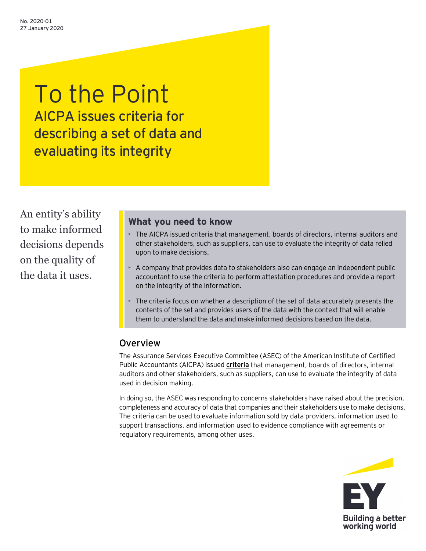# To the Point AICPA issues criteria for describing a set of data and evaluating its integrity

An entity's ability to make informed decisions depends on the quality of the data it uses.

### **What you need to know**

- The AICPA issued criteria that management, boards of directors, internal auditors and other stakeholders, such as suppliers, can use to evaluate the integrity of data relied upon to make decisions.
- A company that provides data to stakeholders also can engage an independent public accountant to use the criteria to perform attestation procedures and provide a report on the integrity of the information.
- The criteria focus on whether a description of the set of data accurately presents the contents of the set and provides users of the data with the context that will enable them to understand the data and make informed decisions based on the data.

## Overview

The Assurance Services Executive Committee (ASEC) of the American Institute of Certified Public Accountants (AICPA) issued **[criteria](https://www.aicpa.org/content/dam/aicpa/interestareas/frc/assuranceadvisoryservices/downloadabledocuments/criteria-for-describing-a-set-of-data-and-evaluating-its-integrity.pdf)** that management, boards of directors, internal auditors and other stakeholders, such as suppliers, can use to evaluate the integrity of data used in decision making.

In doing so, the ASEC was responding to concerns stakeholders have raised about the precision, completeness and accuracy of data that companies and their stakeholders use to make decisions. The criteria can be used to evaluate information sold by data providers, information used to support transactions, and information used to evidence compliance with agreements or regulatory requirements, among other uses.

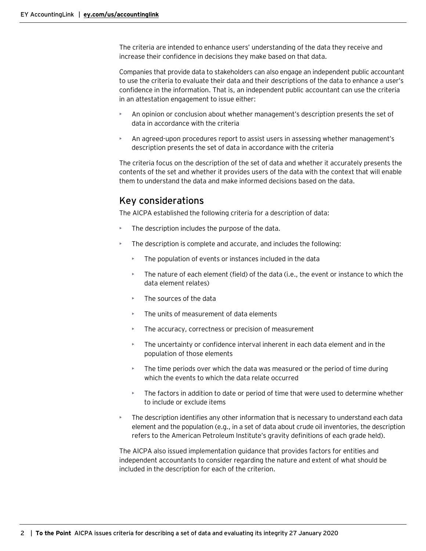The criteria are intended to enhance users' understanding of the data they receive and increase their confidence in decisions they make based on that data.

Companies that provide data to stakeholders can also engage an independent public accountant to use the criteria to evaluate their data and their descriptions of the data to enhance a user's confidence in the information. That is, an independent public accountant can use the criteria in an attestation engagement to issue either:

- An opinion or conclusion about whether management's description presents the set of data in accordance with the criteria
- An agreed-upon procedures report to assist users in assessing whether management's description presents the set of data in accordance with the criteria

The criteria focus on the description of the set of data and whether it accurately presents the contents of the set and whether it provides users of the data with the context that will enable them to understand the data and make informed decisions based on the data.

## Key considerations

The AICPA established the following criteria for a description of data:

- The description includes the purpose of the data.
- The description is complete and accurate, and includes the following:
	- The population of events or instances included in the data
	- The nature of each element (field) of the data (i.e., the event or instance to which the data element relates)
	- The sources of the data
	- The units of measurement of data elements
	- The accuracy, correctness or precision of measurement
	- The uncertainty or confidence interval inherent in each data element and in the population of those elements
	- The time periods over which the data was measured or the period of time during which the events to which the data relate occurred
	- The factors in addition to date or period of time that were used to determine whether to include or exclude items
- The description identifies any other information that is necessary to understand each data element and the population (e.g., in a set of data about crude oil inventories, the description refers to the American Petroleum Institute's gravity definitions of each grade held).

The AICPA also issued implementation guidance that provides factors for entities and independent accountants to consider regarding the nature and extent of what should be included in the description for each of the criterion.